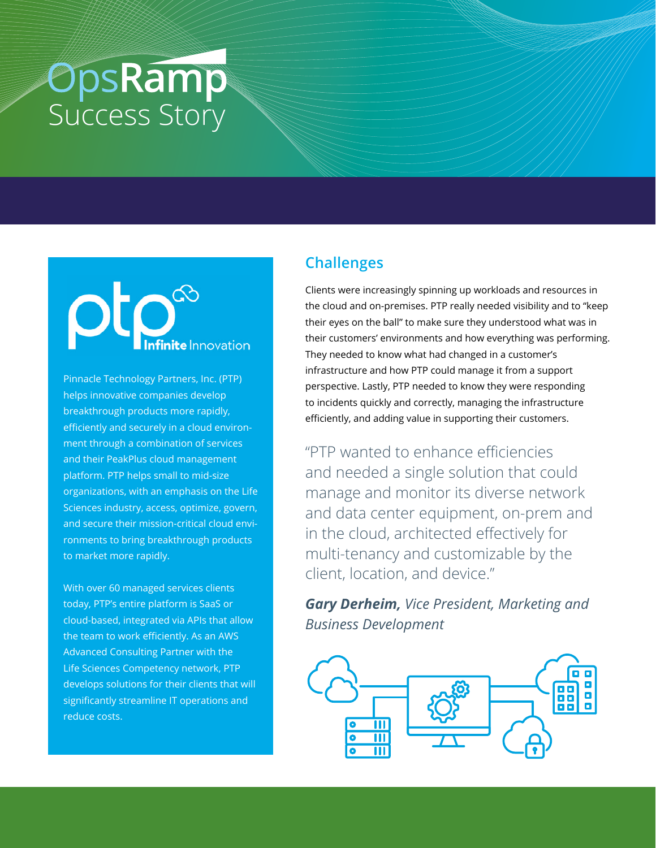# **OpsRamp**<br>Success Story

## **Infinite** Innovation

Pinnacle Technology Partners, Inc. (PTP) helps innovative companies develop breakthrough products more rapidly, efficiently and securely in a cloud environment through a combination of services and their PeakPlus cloud management platform. PTP helps small to mid-size organizations, with an emphasis on the Life Sciences industry, access, optimize, govern, and secure their mission-critical cloud environments to bring breakthrough products to market more rapidly.

With over 60 managed services clients today, PTP's entire platform is SaaS or cloud-based, integrated via APIs that allow the team to work efficiently. As an AWS Advanced Consulting Partner with the Life Sciences Competency network, PTP develops solutions for their clients that will significantly streamline IT operations and reduce costs.

## **Challenges**

Clients were increasingly spinning up workloads and resources in the cloud and on-premises. PTP really needed visibility and to "keep their eyes on the ball" to make sure they understood what was in their customers' environments and how everything was performing. They needed to know what had changed in a customer's infrastructure and how PTP could manage it from a support perspective. Lastly, PTP needed to know they were responding to incidents quickly and correctly, managing the infrastructure efficiently, and adding value in supporting their customers.

"PTP wanted to enhance efficiencies and needed a single solution that could manage and monitor its diverse network and data center equipment, on-prem and in the cloud, architected effectively for multi-tenancy and customizable by the client, location, and device."

*Gary Derheim, Vice President, Marketing and Business Development*